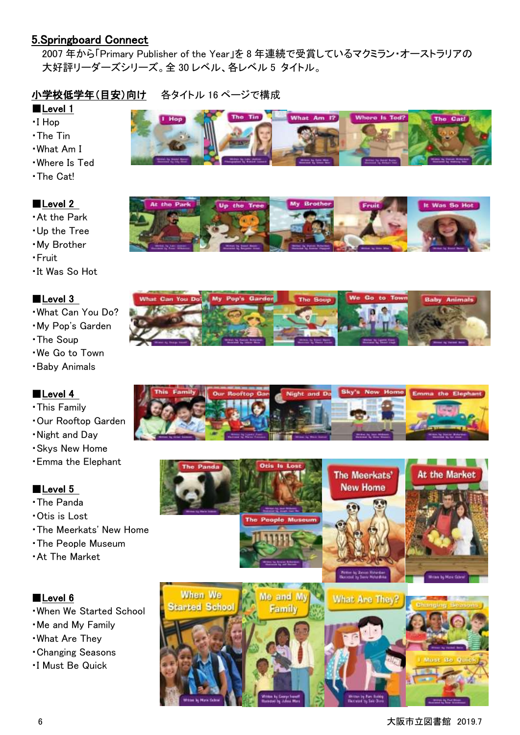# 5.Springboard Connect

2007 年から「Primary Publisher of the Year」を 8 年連続で受賞しているマクミラン・オーストラリアの 大好評リーダーズシリーズ。全 30 レベル、各レベル 5 タイトル。

## 小学校低学年(目安)向け 各タイトル 16 ページで構成

#### ■Level 1

- ・I Hop
- ・The Tin
- ・What Am I
- ・Where Is Ted
- ・The Cat!

## ■Level 2

- ・At the Park
- ・Up the Tree
- ・My Brother
- ・Fruit
- ・It Was So Hot

## ■Level 3

- ・What Can You Do?
- ・My Pop's Garden
- ・The Soup
- ・We Go to Town
- ・Baby Animals

## ■Level 4

- ・This Family
- ・Our Rooftop Garden
- ・Night and Day
- ・Skys New Home
- ・Emma the Elephant

## ■Level 5

- ・The Panda
- ・Otis is Lost
- ・The Meerkats' New Home
- ・The People Museum
- ・At The Market

- ・When We Started School
- ・Me and My Family
- ・What Are They
- ・Changing Seasons
- ・I Must Be Quick









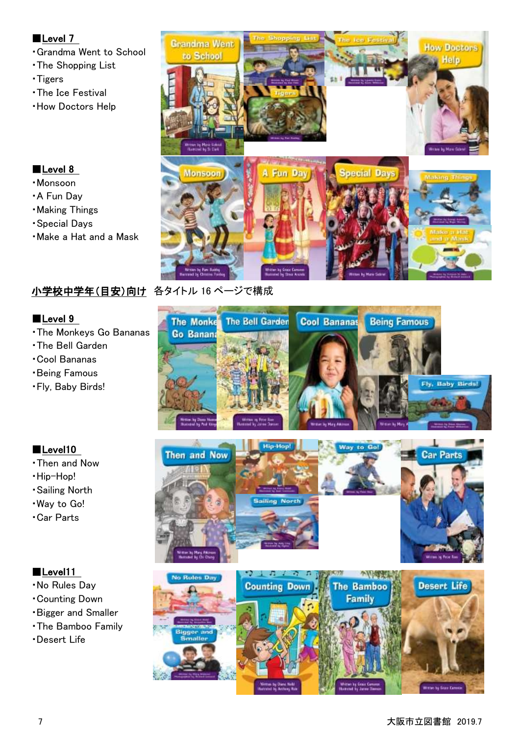#### ■Level 7

- ・Grandma Went to School
- ・The Shopping List
- ・Tigers
- ・The Ice Festival
- ・How Doctors Help

# ■Level 8

- ・Monsoon
- ・A Fun Day
- ・Making Things
- ・Special Days
- ・Make a Hat and a Mask



# 小学校中学年(目安)向け 各タイトル 16 ページで構成

#### ■Level 9

- ・The Monkeys Go Bananas
- ・The Bell Garden
- ・Cool Bananas
- ・Being Famous
- ・Fly, Baby Birds!



- ・Then and Now
- ・Hip-Hop!
- ・Sailing North
- ・Way to Go!
- ・Car Parts

- ・No Rules Day
- ・Counting Down
- ・Bigger and Smaller
- ・The Bamboo Family
- ・Desert Life







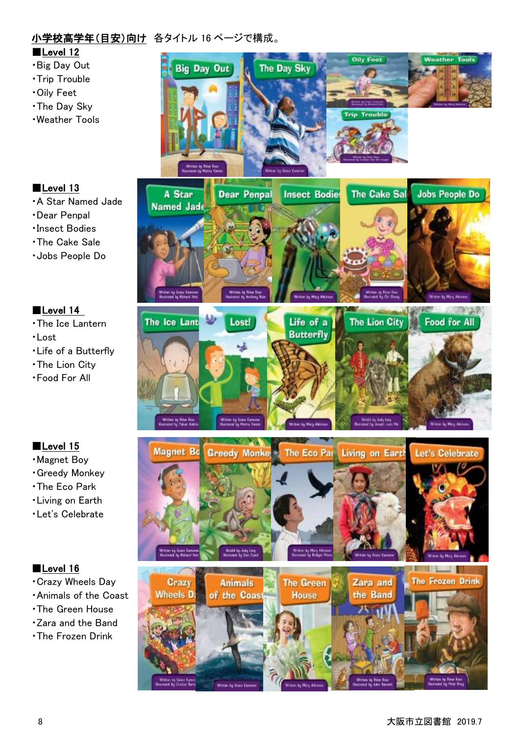## 小学校高学年(目安)向け 各タイトル 16 ページで構成。

- ■Level 12
- ・Big Day Out
- ・Trip Trouble
- ・Oily Feet
- ・The Day Sky
- ・Weather Tools

# ■Level 13

- ・A Star Named Jade
- ・Dear Penpal
- ・Insect Bodies
- ・The Cake Sale
- ・Jobs People Do

## ■Level 14

- ・The Ice Lantern
- ・Lost
- ・Life of a Butterfly
- ・The Lion City
- ・Food For All

## ■Level 15

- ・Magnet Boy
- ・Greedy Monkey
- ・The Eco Park
- ・Living on Earth
- ・Let's Celebrate

- ・Crazy Wheels Day
- ・Animals of the Coast
- ・The Green House
- ・Zara and the Band
- ・The Frozen Drink

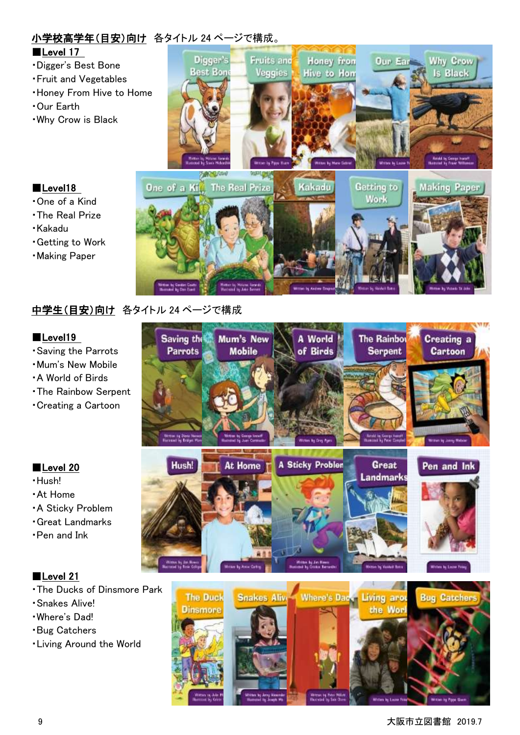# 小学校高学年(目安)向け 各タイトル 24 ページで構成。

#### ■Level 17

- ・Digger's Best Bone
- ・Fruit and Vegetables
- ・Honey From Hive to Home
- ・Our Earth

■Level18 ・One of a Kind ・The Real Prize

・Kakadu

・Getting to Work ・Making Paper

・Why Crow is Black



# 中学生(目安)向け 各タイトル 24 ページで構成

#### ■Level19

- ・Saving the Parrots
- ・Mum's New Mobile
- ・A World of Birds
- ・The Rainbow Serpent
- ・Creating a Cartoon

## ■Level 20

- ・Hush!
- ・At Home
- ・A Sticky Problem
- ・Great Landmarks
- ・Pen and Ink

- ・The Ducks of Dinsmore Park
- ・Snakes Alive!
- ・Where's Dad!
- ・Bug Catchers
- ・Living Around the World

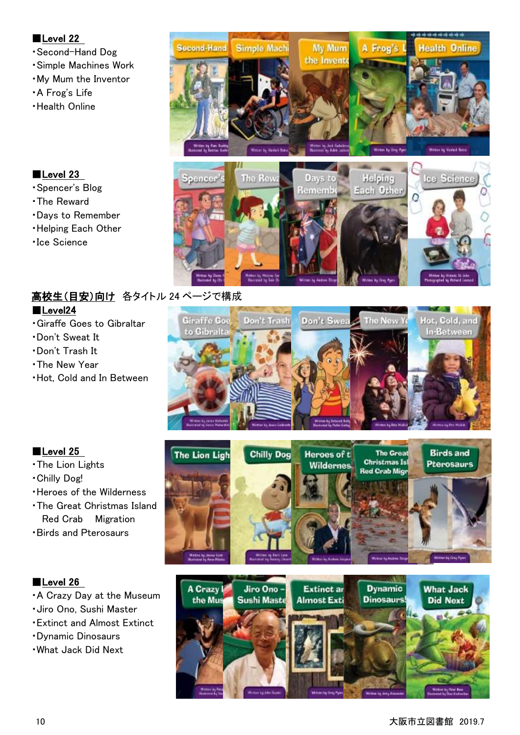#### ■Level 22

- ・Second-Hand Dog
- ・Simple Machines Work
- ・My Mum the Inventor
- ・A Frog's Life
- ・Health Online





#### ■Level 23

- ・Spencer's Blog
- ・The Reward
- ・Days to Remember
- ・Helping Each Other
- ・Ice Science

# 高校生(目安)向け 各タイトル 24 ページで構成

## ■Level24

- ・Giraffe Goes to Gibraltar
- ・Don't Sweat It
- ・Don't Trash It
- ・The New Year
- ・Hot, Cold and In Between



## ■Level 25

- ・The Lion Lights
- ・Chilly Dog!
- ・Heroes of the Wilderness
- ・The Great Christmas Island Red Crab Migration
- ・Birds and Pterosaurs

- ・A Crazy Day at the Museum
- ・Jiro Ono, Sushi Master
- ・Extinct and Almost Extinct
- ・Dynamic Dinosaurs
- ・What Jack Did Next